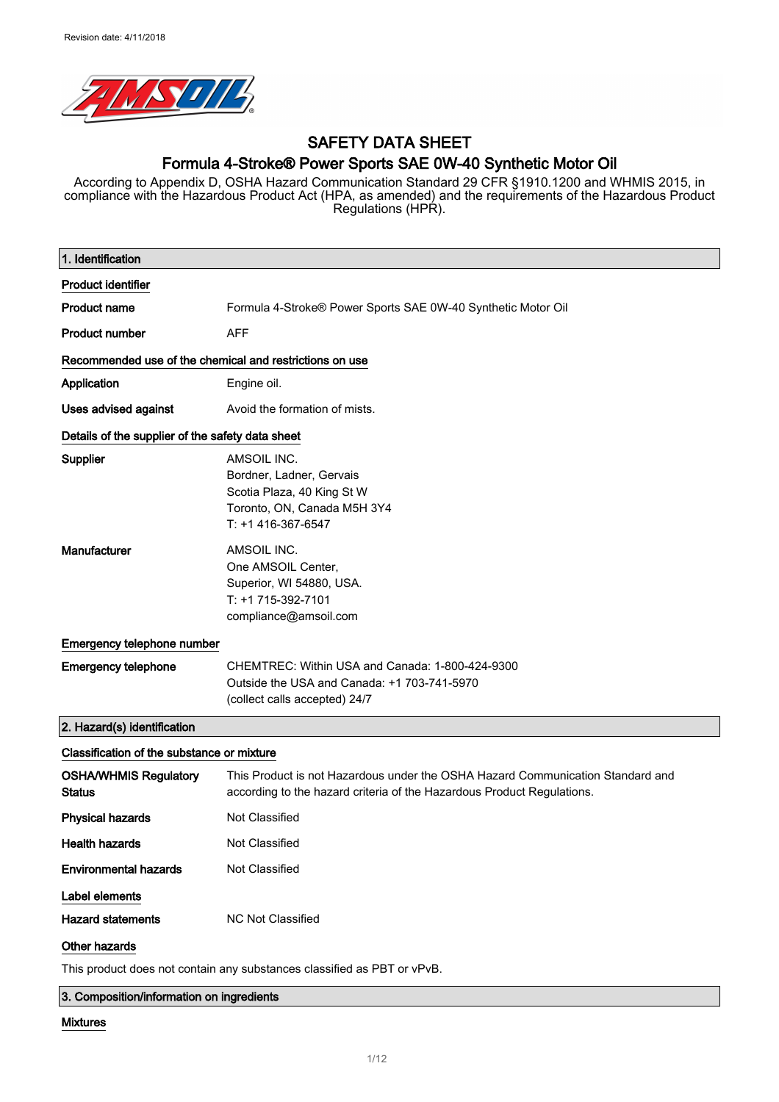

## SAFETY DATA SHEET Formula 4-Stroke® Power Sports SAE 0W-40 Synthetic Motor Oil

According to Appendix D, OSHA Hazard Communication Standard 29 CFR §1910.1200 and WHMIS 2015, in compliance with the Hazardous Product Act (HPA, as amended) and the requirements of the Hazardous Product Regulations (HPR).

| 1. Identification                                       |                                                                                                                                                          |
|---------------------------------------------------------|----------------------------------------------------------------------------------------------------------------------------------------------------------|
| <b>Product identifier</b>                               |                                                                                                                                                          |
| <b>Product name</b>                                     | Formula 4-Stroke® Power Sports SAE 0W-40 Synthetic Motor Oil                                                                                             |
| <b>Product number</b>                                   | <b>AFF</b>                                                                                                                                               |
| Recommended use of the chemical and restrictions on use |                                                                                                                                                          |
| Application                                             | Engine oil.                                                                                                                                              |
| <b>Uses advised against</b>                             | Avoid the formation of mists.                                                                                                                            |
| Details of the supplier of the safety data sheet        |                                                                                                                                                          |
| Supplier                                                | AMSOIL INC.<br>Bordner, Ladner, Gervais<br>Scotia Plaza, 40 King St W<br>Toronto, ON, Canada M5H 3Y4<br>T: +1 416-367-6547                               |
| Manufacturer                                            | AMSOIL INC.<br>One AMSOIL Center,<br>Superior, WI 54880, USA.<br>T: +1 715-392-7101<br>compliance@amsoil.com                                             |
| Emergency telephone number                              |                                                                                                                                                          |
| <b>Emergency telephone</b>                              | CHEMTREC: Within USA and Canada: 1-800-424-9300<br>Outside the USA and Canada: +1 703-741-5970<br>(collect calls accepted) 24/7                          |
| 2. Hazard(s) identification                             |                                                                                                                                                          |
| Classification of the substance or mixture              |                                                                                                                                                          |
| <b>OSHA/WHMIS Regulatory</b><br><b>Status</b>           | This Product is not Hazardous under the OSHA Hazard Communication Standard and<br>according to the hazard criteria of the Hazardous Product Regulations. |
| <b>Physical hazards</b>                                 | <b>Not Classified</b>                                                                                                                                    |
| <b>Health hazards</b>                                   | Not Classified                                                                                                                                           |
| <b>Environmental hazards</b>                            | Not Classified                                                                                                                                           |
| Label elements                                          |                                                                                                                                                          |
| <b>Hazard statements</b>                                | <b>NC Not Classified</b>                                                                                                                                 |
| Other hazards                                           |                                                                                                                                                          |
|                                                         | This product does not contain any substances classified as PBT or vPvB.                                                                                  |

3. Composition/information on ingredients

#### Mixtures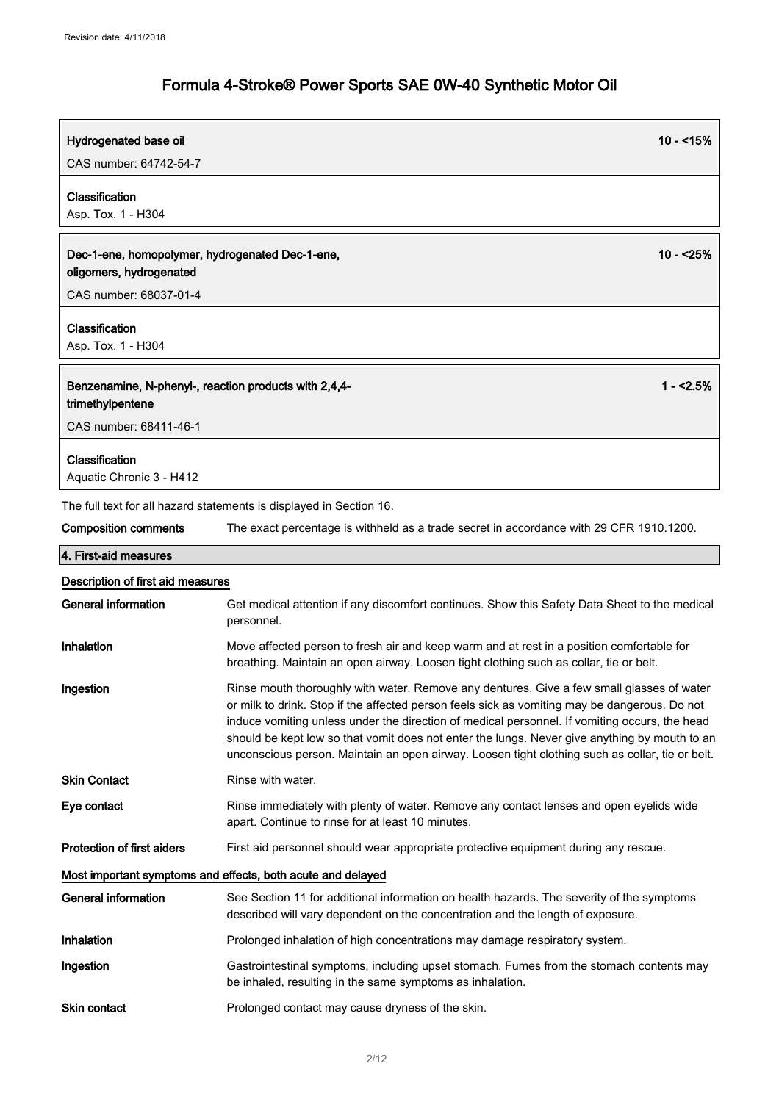| Hydrogenated base oil                                                      | $10 - 15%$                                                                                                                                                                                                                                                                                                                                                                                                                                                                                      |  |
|----------------------------------------------------------------------------|-------------------------------------------------------------------------------------------------------------------------------------------------------------------------------------------------------------------------------------------------------------------------------------------------------------------------------------------------------------------------------------------------------------------------------------------------------------------------------------------------|--|
| CAS number: 64742-54-7                                                     |                                                                                                                                                                                                                                                                                                                                                                                                                                                                                                 |  |
| Classification<br>Asp. Tox. 1 - H304                                       |                                                                                                                                                                                                                                                                                                                                                                                                                                                                                                 |  |
| Dec-1-ene, homopolymer, hydrogenated Dec-1-ene,<br>oligomers, hydrogenated | $10 - 25%$                                                                                                                                                                                                                                                                                                                                                                                                                                                                                      |  |
| CAS number: 68037-01-4                                                     |                                                                                                                                                                                                                                                                                                                                                                                                                                                                                                 |  |
| Classification<br>Asp. Tox. 1 - H304                                       |                                                                                                                                                                                                                                                                                                                                                                                                                                                                                                 |  |
| Benzenamine, N-phenyl-, reaction products with 2,4,4-<br>trimethylpentene  | $1 - 2.5%$                                                                                                                                                                                                                                                                                                                                                                                                                                                                                      |  |
| CAS number: 68411-46-1                                                     |                                                                                                                                                                                                                                                                                                                                                                                                                                                                                                 |  |
| Classification<br>Aquatic Chronic 3 - H412                                 |                                                                                                                                                                                                                                                                                                                                                                                                                                                                                                 |  |
|                                                                            | The full text for all hazard statements is displayed in Section 16.                                                                                                                                                                                                                                                                                                                                                                                                                             |  |
| <b>Composition comments</b>                                                | The exact percentage is withheld as a trade secret in accordance with 29 CFR 1910.1200.                                                                                                                                                                                                                                                                                                                                                                                                         |  |
| 4. First-aid measures                                                      |                                                                                                                                                                                                                                                                                                                                                                                                                                                                                                 |  |
| Description of first aid measures                                          |                                                                                                                                                                                                                                                                                                                                                                                                                                                                                                 |  |
| <b>General information</b>                                                 | Get medical attention if any discomfort continues. Show this Safety Data Sheet to the medical<br>personnel.                                                                                                                                                                                                                                                                                                                                                                                     |  |
| Inhalation                                                                 | Move affected person to fresh air and keep warm and at rest in a position comfortable for<br>breathing. Maintain an open airway. Loosen tight clothing such as collar, tie or belt.                                                                                                                                                                                                                                                                                                             |  |
| Ingestion                                                                  | Rinse mouth thoroughly with water. Remove any dentures. Give a few small glasses of water<br>or milk to drink. Stop if the affected person feels sick as vomiting may be dangerous. Do not<br>induce vomiting unless under the direction of medical personnel. If vomiting occurs, the head<br>should be kept low so that vomit does not enter the lungs. Never give anything by mouth to an<br>unconscious person. Maintain an open airway. Loosen tight clothing such as collar, tie or belt. |  |
| <b>Skin Contact</b>                                                        | Rinse with water.                                                                                                                                                                                                                                                                                                                                                                                                                                                                               |  |
| Eye contact                                                                | Rinse immediately with plenty of water. Remove any contact lenses and open eyelids wide<br>apart. Continue to rinse for at least 10 minutes.                                                                                                                                                                                                                                                                                                                                                    |  |
| <b>Protection of first aiders</b>                                          | First aid personnel should wear appropriate protective equipment during any rescue.                                                                                                                                                                                                                                                                                                                                                                                                             |  |
|                                                                            | Most important symptoms and effects, both acute and delayed                                                                                                                                                                                                                                                                                                                                                                                                                                     |  |
| <b>General information</b>                                                 | See Section 11 for additional information on health hazards. The severity of the symptoms<br>described will vary dependent on the concentration and the length of exposure.                                                                                                                                                                                                                                                                                                                     |  |
| Inhalation                                                                 | Prolonged inhalation of high concentrations may damage respiratory system.                                                                                                                                                                                                                                                                                                                                                                                                                      |  |
| Ingestion                                                                  | Gastrointestinal symptoms, including upset stomach. Fumes from the stomach contents may<br>be inhaled, resulting in the same symptoms as inhalation.                                                                                                                                                                                                                                                                                                                                            |  |
| Skin contact                                                               | Prolonged contact may cause dryness of the skin.                                                                                                                                                                                                                                                                                                                                                                                                                                                |  |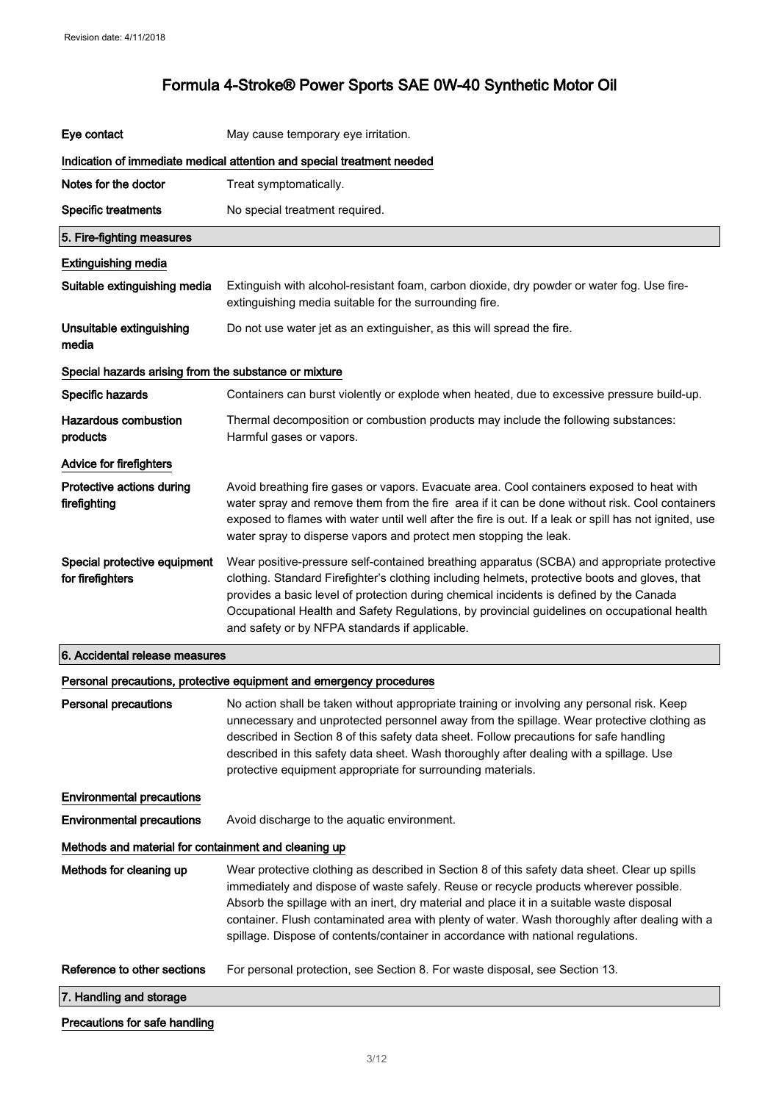| Eye contact                                           | May cause temporary eye irritation.                                                                                                                                                                                                                                                                                                                                                                                                                                      |
|-------------------------------------------------------|--------------------------------------------------------------------------------------------------------------------------------------------------------------------------------------------------------------------------------------------------------------------------------------------------------------------------------------------------------------------------------------------------------------------------------------------------------------------------|
|                                                       | Indication of immediate medical attention and special treatment needed                                                                                                                                                                                                                                                                                                                                                                                                   |
| Notes for the doctor                                  | Treat symptomatically.                                                                                                                                                                                                                                                                                                                                                                                                                                                   |
| <b>Specific treatments</b>                            | No special treatment required.                                                                                                                                                                                                                                                                                                                                                                                                                                           |
| 5. Fire-fighting measures                             |                                                                                                                                                                                                                                                                                                                                                                                                                                                                          |
| <b>Extinguishing media</b>                            |                                                                                                                                                                                                                                                                                                                                                                                                                                                                          |
| Suitable extinguishing media                          | Extinguish with alcohol-resistant foam, carbon dioxide, dry powder or water fog. Use fire-<br>extinguishing media suitable for the surrounding fire.                                                                                                                                                                                                                                                                                                                     |
| Unsuitable extinguishing<br>media                     | Do not use water jet as an extinguisher, as this will spread the fire.                                                                                                                                                                                                                                                                                                                                                                                                   |
| Special hazards arising from the substance or mixture |                                                                                                                                                                                                                                                                                                                                                                                                                                                                          |
| Specific hazards                                      | Containers can burst violently or explode when heated, due to excessive pressure build-up.                                                                                                                                                                                                                                                                                                                                                                               |
| <b>Hazardous combustion</b><br>products               | Thermal decomposition or combustion products may include the following substances:<br>Harmful gases or vapors.                                                                                                                                                                                                                                                                                                                                                           |
| Advice for firefighters                               |                                                                                                                                                                                                                                                                                                                                                                                                                                                                          |
| Protective actions during<br>firefighting             | Avoid breathing fire gases or vapors. Evacuate area. Cool containers exposed to heat with<br>water spray and remove them from the fire area if it can be done without risk. Cool containers<br>exposed to flames with water until well after the fire is out. If a leak or spill has not ignited, use<br>water spray to disperse vapors and protect men stopping the leak.                                                                                               |
| Special protective equipment<br>for firefighters      | Wear positive-pressure self-contained breathing apparatus (SCBA) and appropriate protective<br>clothing. Standard Firefighter's clothing including helmets, protective boots and gloves, that<br>provides a basic level of protection during chemical incidents is defined by the Canada<br>Occupational Health and Safety Regulations, by provincial guidelines on occupational health<br>and safety or by NFPA standards if applicable.                                |
| 6. Accidental release measures                        |                                                                                                                                                                                                                                                                                                                                                                                                                                                                          |
|                                                       | Personal precautions, protective equipment and emergency procedures                                                                                                                                                                                                                                                                                                                                                                                                      |
| <b>Personal precautions</b>                           | No action shall be taken without appropriate training or involving any personal risk. Keep<br>unnecessary and unprotected personnel away from the spillage. Wear protective clothing as<br>described in Section 8 of this safety data sheet. Follow precautions for safe handling<br>described in this safety data sheet. Wash thoroughly after dealing with a spillage. Use<br>protective equipment appropriate for surrounding materials.                              |
| <b>Environmental precautions</b>                      |                                                                                                                                                                                                                                                                                                                                                                                                                                                                          |
| <b>Environmental precautions</b>                      | Avoid discharge to the aquatic environment.                                                                                                                                                                                                                                                                                                                                                                                                                              |
| Methods and material for containment and cleaning up  |                                                                                                                                                                                                                                                                                                                                                                                                                                                                          |
| Methods for cleaning up                               | Wear protective clothing as described in Section 8 of this safety data sheet. Clear up spills<br>immediately and dispose of waste safely. Reuse or recycle products wherever possible.<br>Absorb the spillage with an inert, dry material and place it in a suitable waste disposal<br>container. Flush contaminated area with plenty of water. Wash thoroughly after dealing with a<br>spillage. Dispose of contents/container in accordance with national regulations. |
| Reference to other sections                           | For personal protection, see Section 8. For waste disposal, see Section 13.                                                                                                                                                                                                                                                                                                                                                                                              |
| 7. Handling and storage                               |                                                                                                                                                                                                                                                                                                                                                                                                                                                                          |
| Precautions for safe handling                         |                                                                                                                                                                                                                                                                                                                                                                                                                                                                          |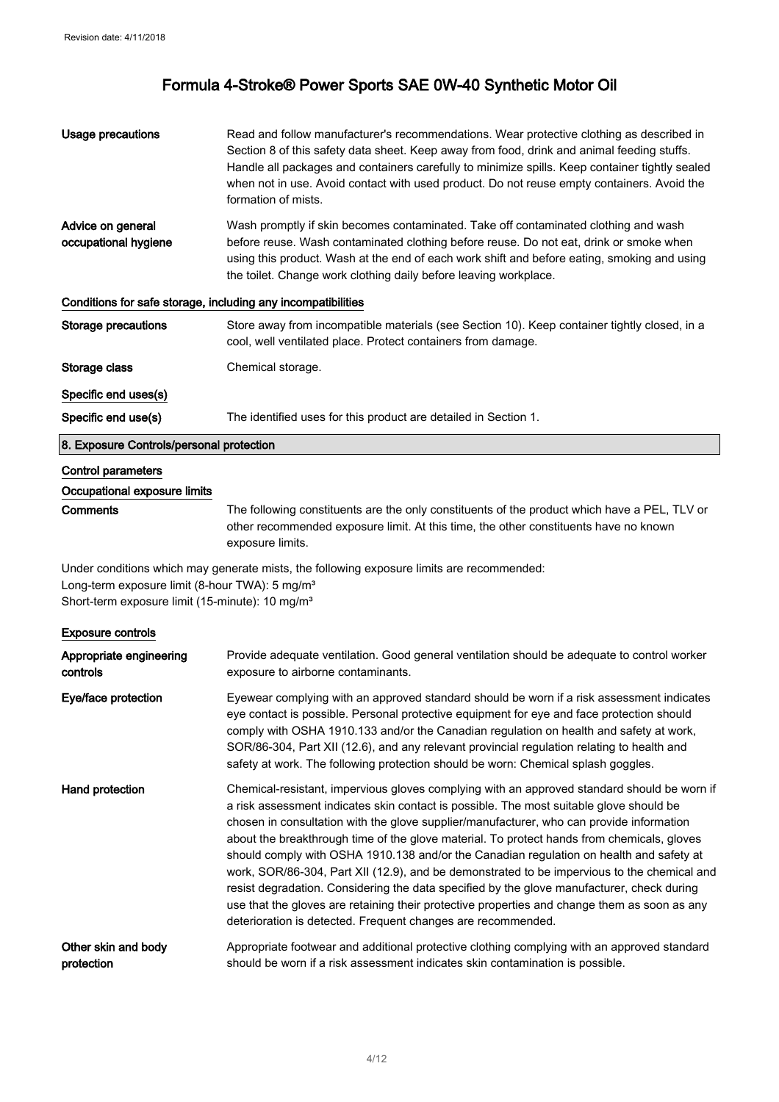| Usage precautions                                            | Read and follow manufacturer's recommendations. Wear protective clothing as described in<br>Section 8 of this safety data sheet. Keep away from food, drink and animal feeding stuffs.<br>Handle all packages and containers carefully to minimize spills. Keep container tightly sealed<br>when not in use. Avoid contact with used product. Do not reuse empty containers. Avoid the<br>formation of mists. |  |
|--------------------------------------------------------------|---------------------------------------------------------------------------------------------------------------------------------------------------------------------------------------------------------------------------------------------------------------------------------------------------------------------------------------------------------------------------------------------------------------|--|
| Advice on general<br>occupational hygiene                    | Wash promptly if skin becomes contaminated. Take off contaminated clothing and wash<br>before reuse. Wash contaminated clothing before reuse. Do not eat, drink or smoke when<br>using this product. Wash at the end of each work shift and before eating, smoking and using<br>the toilet. Change work clothing daily before leaving workplace.                                                              |  |
| Conditions for safe storage, including any incompatibilities |                                                                                                                                                                                                                                                                                                                                                                                                               |  |
| <b>Storage precautions</b>                                   | Store away from incompatible materials (see Section 10). Keep container tightly closed, in a<br>cool, well ventilated place. Protect containers from damage.                                                                                                                                                                                                                                                  |  |
| Storage class                                                | Chemical storage.                                                                                                                                                                                                                                                                                                                                                                                             |  |
| Specific end uses(s)                                         |                                                                                                                                                                                                                                                                                                                                                                                                               |  |
| Specific end use(s)                                          | The identified uses for this product are detailed in Section 1.                                                                                                                                                                                                                                                                                                                                               |  |
| 8. Exposure Controls/personal protection                     |                                                                                                                                                                                                                                                                                                                                                                                                               |  |
| <b>Control parameters</b>                                    |                                                                                                                                                                                                                                                                                                                                                                                                               |  |
| Occupational exposure limits                                 |                                                                                                                                                                                                                                                                                                                                                                                                               |  |
| Comments                                                     | The following constituents are the only constituents of the product which have a PEL, TLV or<br>other recommended exposure limit. At this time, the other constituents have no known<br>exposure limits.                                                                                                                                                                                                      |  |
|                                                              | Under conditions which may generate mists, the following exposure limits are recommended:                                                                                                                                                                                                                                                                                                                     |  |
| Long-term exposure limit (8-hour TWA): 5 mg/m <sup>3</sup>   |                                                                                                                                                                                                                                                                                                                                                                                                               |  |

Short-term exposure limit (15-minute): 10 mg/m<sup>3</sup>

### Exposure controls

| Appropriate engineering | Provide adequate ventilation. Good general ventilation should be adequate to control worker                                                                                                                                                                                                                                                                                                                                                                                                                                                                                                                                                                                                                                                                                                                                              |
|-------------------------|------------------------------------------------------------------------------------------------------------------------------------------------------------------------------------------------------------------------------------------------------------------------------------------------------------------------------------------------------------------------------------------------------------------------------------------------------------------------------------------------------------------------------------------------------------------------------------------------------------------------------------------------------------------------------------------------------------------------------------------------------------------------------------------------------------------------------------------|
| controls                | exposure to airborne contaminants.                                                                                                                                                                                                                                                                                                                                                                                                                                                                                                                                                                                                                                                                                                                                                                                                       |
| Eye/face protection     | Eyewear complying with an approved standard should be worn if a risk assessment indicates<br>eye contact is possible. Personal protective equipment for eye and face protection should<br>comply with OSHA 1910.133 and/or the Canadian regulation on health and safety at work,<br>SOR/86-304, Part XII (12.6), and any relevant provincial regulation relating to health and<br>safety at work. The following protection should be worn: Chemical splash goggles.                                                                                                                                                                                                                                                                                                                                                                      |
| Hand protection         | Chemical-resistant, impervious gloves complying with an approved standard should be worn if<br>a risk assessment indicates skin contact is possible. The most suitable glove should be<br>chosen in consultation with the glove supplier/manufacturer, who can provide information<br>about the breakthrough time of the glove material. To protect hands from chemicals, gloves<br>should comply with OSHA 1910.138 and/or the Canadian regulation on health and safety at<br>work, SOR/86-304, Part XII (12.9), and be demonstrated to be impervious to the chemical and<br>resist degradation. Considering the data specified by the glove manufacturer, check during<br>use that the gloves are retaining their protective properties and change them as soon as any<br>deterioration is detected. Frequent changes are recommended. |
| Other skin and body     | Appropriate footwear and additional protective clothing complying with an approved standard                                                                                                                                                                                                                                                                                                                                                                                                                                                                                                                                                                                                                                                                                                                                              |
| protection              | should be worn if a risk assessment indicates skin contamination is possible.                                                                                                                                                                                                                                                                                                                                                                                                                                                                                                                                                                                                                                                                                                                                                            |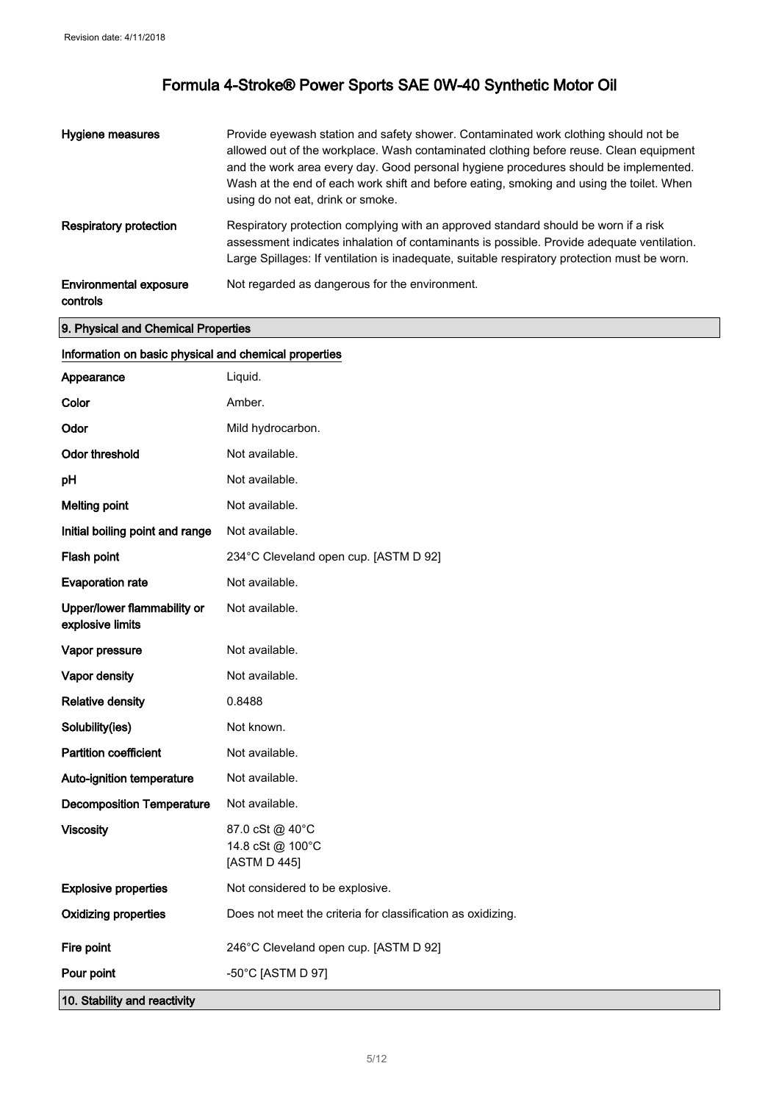| Hygiene measures                          | Provide eyewash station and safety shower. Contaminated work clothing should not be<br>allowed out of the workplace. Wash contaminated clothing before reuse. Clean equipment<br>and the work area every day. Good personal hygiene procedures should be implemented.<br>Wash at the end of each work shift and before eating, smoking and using the toilet. When<br>using do not eat, drink or smoke. |
|-------------------------------------------|--------------------------------------------------------------------------------------------------------------------------------------------------------------------------------------------------------------------------------------------------------------------------------------------------------------------------------------------------------------------------------------------------------|
| <b>Respiratory protection</b>             | Respiratory protection complying with an approved standard should be worn if a risk<br>assessment indicates inhalation of contaminants is possible. Provide adequate ventilation.<br>Large Spillages: If ventilation is inadequate, suitable respiratory protection must be worn.                                                                                                                      |
| <b>Environmental exposure</b><br>controls | Not regarded as dangerous for the environment.                                                                                                                                                                                                                                                                                                                                                         |

9. Physical and Chemical Properties

### Information on basic physical and chemical properties

| Appearance                                      | Liquid.                                                     |
|-------------------------------------------------|-------------------------------------------------------------|
| Color                                           | Amber.                                                      |
| Odor                                            | Mild hydrocarbon.                                           |
| <b>Odor threshold</b>                           | Not available.                                              |
| pH                                              | Not available.                                              |
| <b>Melting point</b>                            | Not available.                                              |
| Initial boiling point and range                 | Not available.                                              |
| Flash point                                     | 234°C Cleveland open cup. [ASTM D 92]                       |
| <b>Evaporation rate</b>                         | Not available.                                              |
| Upper/lower flammability or<br>explosive limits | Not available.                                              |
| Vapor pressure                                  | Not available.                                              |
| Vapor density                                   | Not available.                                              |
| <b>Relative density</b>                         | 0.8488                                                      |
| Solubility(ies)                                 | Not known.                                                  |
| <b>Partition coefficient</b>                    | Not available.                                              |
| Auto-ignition temperature                       | Not available.                                              |
| <b>Decomposition Temperature</b>                | Not available.                                              |
| <b>Viscosity</b>                                | 87.0 cSt @ 40°C<br>14.8 cSt @ 100°C<br>[ASTM D 445]         |
| <b>Explosive properties</b>                     | Not considered to be explosive.                             |
| <b>Oxidizing properties</b>                     | Does not meet the criteria for classification as oxidizing. |
| Fire point                                      | 246°C Cleveland open cup. [ASTM D 92]                       |
| Pour point                                      | -50°C [ASTM D 97]                                           |
| 10. Stability and reactivity                    |                                                             |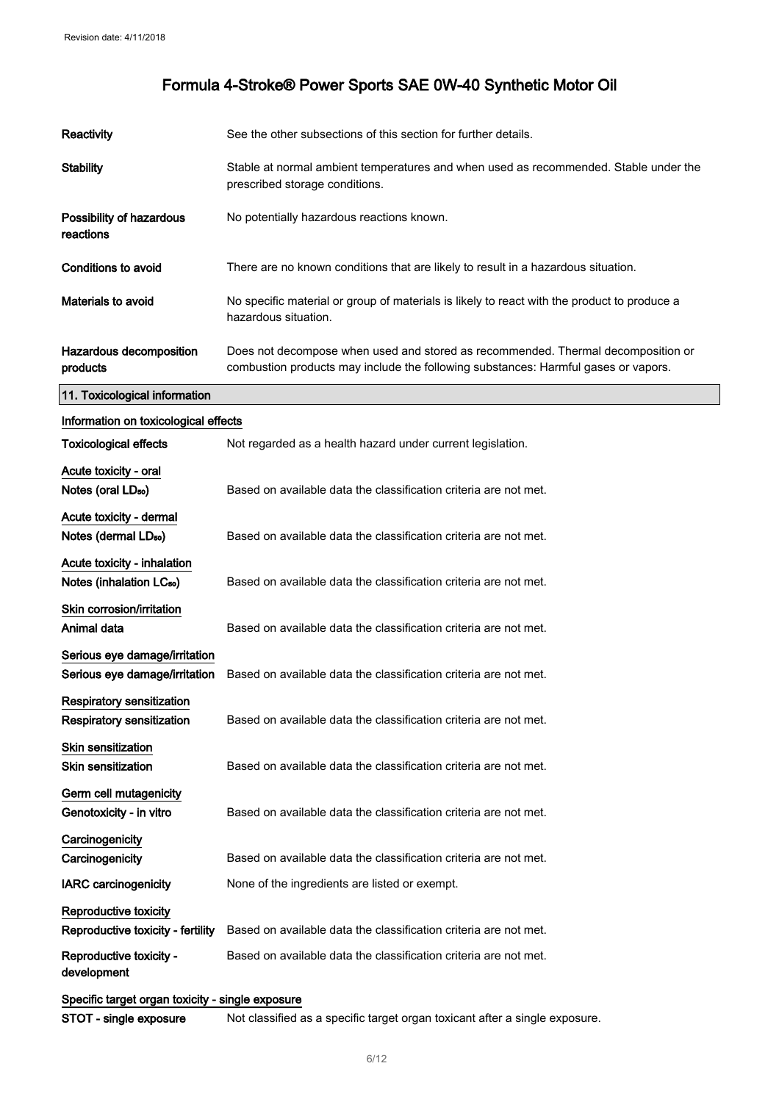| <b>Reactivity</b>                                                    | See the other subsections of this section for further details.                                                                                                         |
|----------------------------------------------------------------------|------------------------------------------------------------------------------------------------------------------------------------------------------------------------|
| <b>Stability</b>                                                     | Stable at normal ambient temperatures and when used as recommended. Stable under the<br>prescribed storage conditions.                                                 |
| Possibility of hazardous<br>reactions                                | No potentially hazardous reactions known.                                                                                                                              |
| <b>Conditions to avoid</b>                                           | There are no known conditions that are likely to result in a hazardous situation.                                                                                      |
| Materials to avoid                                                   | No specific material or group of materials is likely to react with the product to produce a<br>hazardous situation.                                                    |
| Hazardous decomposition<br>products                                  | Does not decompose when used and stored as recommended. Thermal decomposition or<br>combustion products may include the following substances: Harmful gases or vapors. |
| 11. Toxicological information                                        |                                                                                                                                                                        |
| Information on toxicological effects                                 |                                                                                                                                                                        |
| <b>Toxicological effects</b>                                         | Not regarded as a health hazard under current legislation.                                                                                                             |
| Acute toxicity - oral<br>Notes (oral LD <sub>50</sub> )              | Based on available data the classification criteria are not met.                                                                                                       |
| Acute toxicity - dermal<br>Notes (dermal LD <sub>50</sub> )          | Based on available data the classification criteria are not met.                                                                                                       |
| Acute toxicity - inhalation<br>Notes (inhalation LC <sub>50</sub> )  | Based on available data the classification criteria are not met.                                                                                                       |
| Skin corrosion/irritation<br>Animal data                             | Based on available data the classification criteria are not met.                                                                                                       |
| Serious eye damage/irritation<br>Serious eye damage/irritation       | Based on available data the classification criteria are not met.                                                                                                       |
| <b>Respiratory sensitization</b><br><b>Respiratory sensitization</b> | Based on available data the classification criteria are not met.                                                                                                       |
| <b>Skin sensitization</b><br><b>Skin sensitization</b>               | Based on available data the classification criteria are not met.                                                                                                       |
| Germ cell mutagenicity<br>Genotoxicity - in vitro                    | Based on available data the classification criteria are not met.                                                                                                       |
| Carcinogenicity<br>Carcinogenicity                                   | Based on available data the classification criteria are not met.                                                                                                       |
| <b>IARC</b> carcinogenicity                                          | None of the ingredients are listed or exempt.                                                                                                                          |
| Reproductive toxicity<br>Reproductive toxicity - fertility           | Based on available data the classification criteria are not met.                                                                                                       |
| Reproductive toxicity -<br>development                               | Based on available data the classification criteria are not met.                                                                                                       |
| Specific target organ toxicity - single exposure                     |                                                                                                                                                                        |
| STOT - single exposure                                               | Not classified as a specific target organ toxicant after a single exposure.                                                                                            |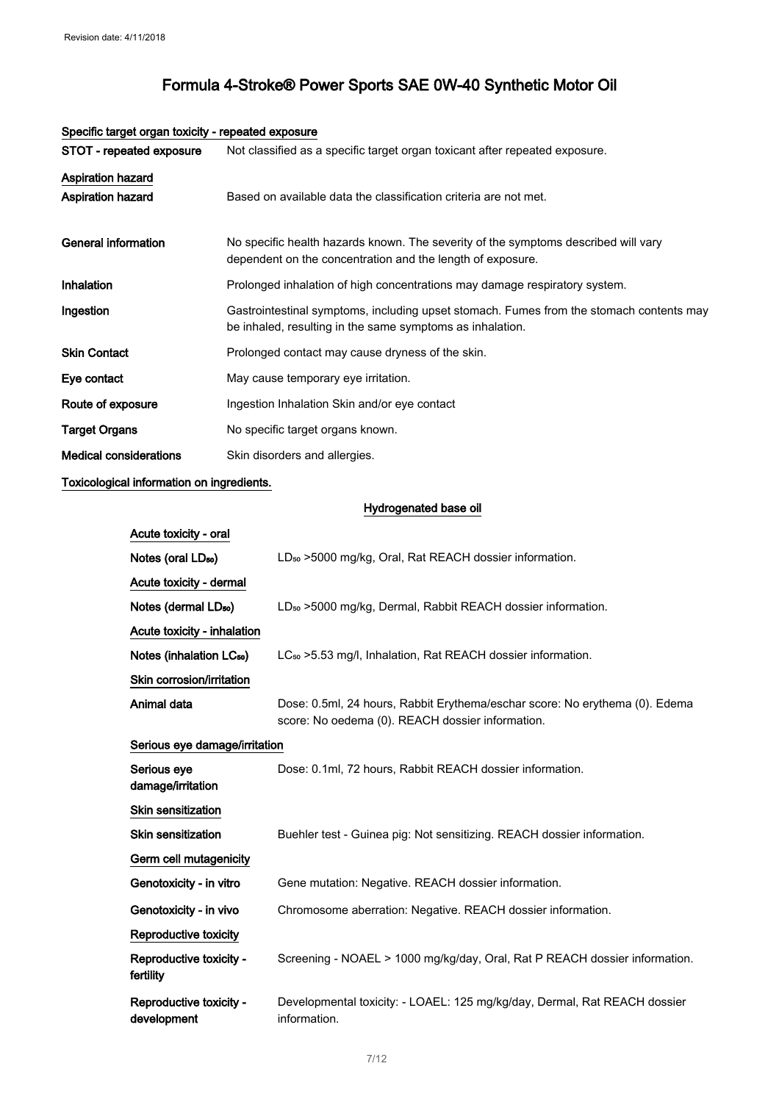| opoolilo targot organi toxioity - ropodtoa oxpoodio |                                                                                                                                                      |
|-----------------------------------------------------|------------------------------------------------------------------------------------------------------------------------------------------------------|
| STOT - repeated exposure                            | Not classified as a specific target organ toxicant after repeated exposure.                                                                          |
| Aspiration hazard<br><b>Aspiration hazard</b>       | Based on available data the classification criteria are not met.                                                                                     |
| General information                                 | No specific health hazards known. The severity of the symptoms described will vary<br>dependent on the concentration and the length of exposure.     |
| Inhalation                                          | Prolonged inhalation of high concentrations may damage respiratory system.                                                                           |
| Ingestion                                           | Gastrointestinal symptoms, including upset stomach. Fumes from the stomach contents may<br>be inhaled, resulting in the same symptoms as inhalation. |
| <b>Skin Contact</b>                                 | Prolonged contact may cause dryness of the skin.                                                                                                     |
| Eye contact                                         | May cause temporary eye irritation.                                                                                                                  |
| Route of exposure                                   | Ingestion Inhalation Skin and/or eye contact                                                                                                         |
| <b>Target Organs</b>                                | No specific target organs known.                                                                                                                     |
| <b>Medical considerations</b>                       | Skin disorders and allergies.                                                                                                                        |

### Specific target organ toxicity - repeated exposure

## Toxicological information on ingredients.

### Hydrogenated base oil

| Acute toxicity - oral                  |                                                                                                                                 |
|----------------------------------------|---------------------------------------------------------------------------------------------------------------------------------|
| Notes (oral LD <sub>50</sub> )         | LD <sub>50</sub> > 5000 mg/kg, Oral, Rat REACH dossier information.                                                             |
| Acute toxicity - dermal                |                                                                                                                                 |
| Notes (dermal LD <sub>50</sub> )       | LD <sub>50</sub> > 5000 mg/kg, Dermal, Rabbit REACH dossier information.                                                        |
| Acute toxicity - inhalation            |                                                                                                                                 |
| Notes (inhalation LC <sub>50</sub> )   | LC <sub>50</sub> > 5.53 mg/l, Inhalation, Rat REACH dossier information.                                                        |
| Skin corrosion/irritation              |                                                                                                                                 |
| Animal data                            | Dose: 0.5ml, 24 hours, Rabbit Erythema/eschar score: No erythema (0). Edema<br>score: No oedema (0). REACH dossier information. |
| Serious eye damage/irritation          |                                                                                                                                 |
| Serious eye<br>damage/irritation       | Dose: 0.1ml, 72 hours, Rabbit REACH dossier information.                                                                        |
| Skin sensitization                     |                                                                                                                                 |
| <b>Skin sensitization</b>              | Buehler test - Guinea pig: Not sensitizing. REACH dossier information.                                                          |
| Germ cell mutagenicity                 |                                                                                                                                 |
| Genotoxicity - in vitro                | Gene mutation: Negative. REACH dossier information.                                                                             |
| Genotoxicity - in vivo                 | Chromosome aberration: Negative. REACH dossier information.                                                                     |
| Reproductive toxicity                  |                                                                                                                                 |
| Reproductive toxicity -<br>fertility   | Screening - NOAEL > 1000 mg/kg/day, Oral, Rat P REACH dossier information.                                                      |
| Reproductive toxicity -<br>development | Developmental toxicity: - LOAEL: 125 mg/kg/day, Dermal, Rat REACH dossier<br>information.                                       |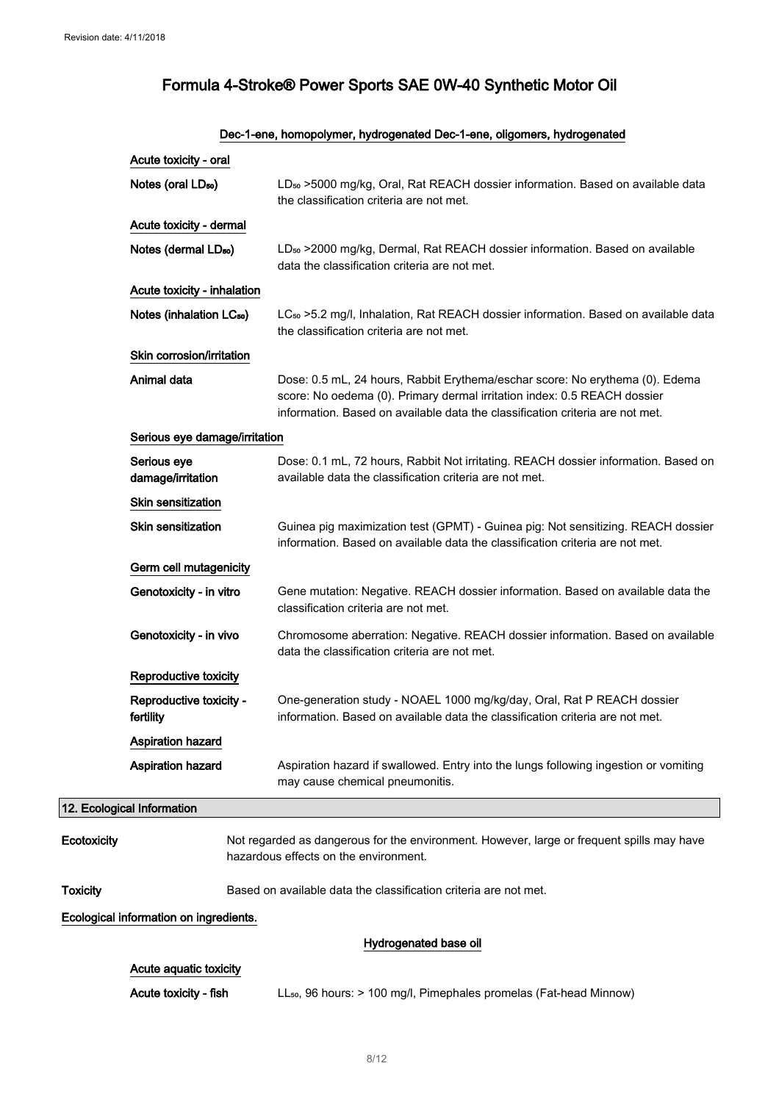|                 | Acute toxicity - oral                  |                                                                                                                                                                                                                                           |
|-----------------|----------------------------------------|-------------------------------------------------------------------------------------------------------------------------------------------------------------------------------------------------------------------------------------------|
|                 | Notes (oral LD <sub>50</sub> )         | LD <sub>so</sub> >5000 mg/kg, Oral, Rat REACH dossier information. Based on available data<br>the classification criteria are not met.                                                                                                    |
|                 | Acute toxicity - dermal                |                                                                                                                                                                                                                                           |
|                 | Notes (dermal LD <sub>50</sub> )       | LD <sub>50</sub> > 2000 mg/kg, Dermal, Rat REACH dossier information. Based on available<br>data the classification criteria are not met.                                                                                                 |
|                 | Acute toxicity - inhalation            |                                                                                                                                                                                                                                           |
|                 | Notes (inhalation LC <sub>50</sub> )   | LC <sub>so</sub> >5.2 mg/l, Inhalation, Rat REACH dossier information. Based on available data<br>the classification criteria are not met.                                                                                                |
|                 | Skin corrosion/irritation              |                                                                                                                                                                                                                                           |
|                 | Animal data                            | Dose: 0.5 mL, 24 hours, Rabbit Erythema/eschar score: No erythema (0). Edema<br>score: No oedema (0). Primary dermal irritation index: 0.5 REACH dossier<br>information. Based on available data the classification criteria are not met. |
|                 | Serious eye damage/irritation          |                                                                                                                                                                                                                                           |
|                 | Serious eye<br>damage/irritation       | Dose: 0.1 mL, 72 hours, Rabbit Not irritating. REACH dossier information. Based on<br>available data the classification criteria are not met.                                                                                             |
|                 | <b>Skin sensitization</b>              |                                                                                                                                                                                                                                           |
|                 | <b>Skin sensitization</b>              | Guinea pig maximization test (GPMT) - Guinea pig: Not sensitizing. REACH dossier<br>information. Based on available data the classification criteria are not met.                                                                         |
|                 | Germ cell mutagenicity                 |                                                                                                                                                                                                                                           |
|                 | Genotoxicity - in vitro                | Gene mutation: Negative. REACH dossier information. Based on available data the<br>classification criteria are not met.                                                                                                                   |
|                 | Genotoxicity - in vivo                 | Chromosome aberration: Negative. REACH dossier information. Based on available<br>data the classification criteria are not met.                                                                                                           |
|                 | Reproductive toxicity                  |                                                                                                                                                                                                                                           |
|                 | Reproductive toxicity -<br>fertility   | One-generation study - NOAEL 1000 mg/kg/day, Oral, Rat P REACH dossier<br>information. Based on available data the classification criteria are not met.                                                                                   |
|                 | <b>Aspiration hazard</b>               |                                                                                                                                                                                                                                           |
|                 | <b>Aspiration hazard</b>               | Aspiration hazard if swallowed. Entry into the lungs following ingestion or vomiting<br>may cause chemical pneumonitis.                                                                                                                   |
|                 | 12. Ecological Information             |                                                                                                                                                                                                                                           |
| Ecotoxicity     |                                        | Not regarded as dangerous for the environment. However, large or frequent spills may have<br>hazardous effects on the environment.                                                                                                        |
| <b>Toxicity</b> |                                        | Based on available data the classification criteria are not met.                                                                                                                                                                          |
|                 | Ecological information on ingredients. |                                                                                                                                                                                                                                           |
|                 |                                        | Hydrogenated base oil                                                                                                                                                                                                                     |
|                 | Acute aquatic toxicity                 |                                                                                                                                                                                                                                           |
|                 | Acute toxicity - fish                  | LL <sub>50</sub> , 96 hours: > 100 mg/l, Pimephales promelas (Fat-head Minnow)                                                                                                                                                            |

#### Dec-1-ene, homopolymer, hydrogenated Dec-1-ene, oligomers, hydrogenated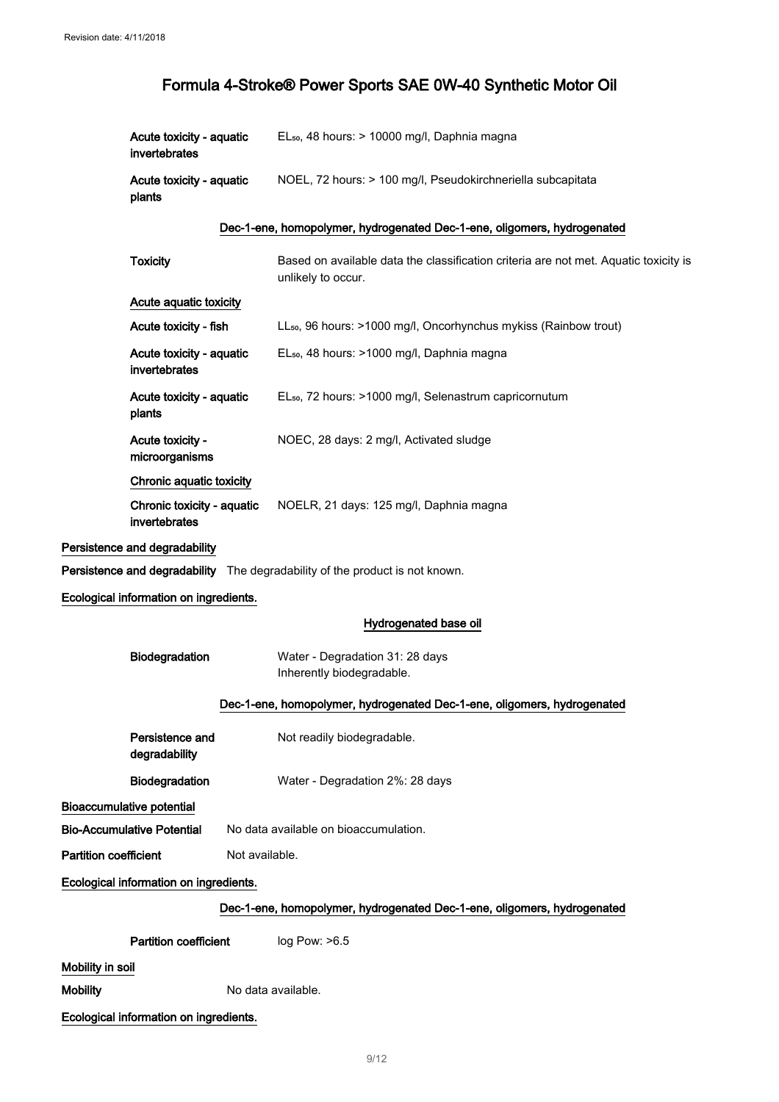| Acute toxicity - aguatic<br>invertebrates | EL <sub>50</sub> , 48 hours: > 10000 mg/l, Daphnia magna    |
|-------------------------------------------|-------------------------------------------------------------|
| Acute toxicity - aquatic<br>plants        | NOEL, 72 hours: > 100 mg/l, Pseudokirchneriella subcapitata |

#### Dec-1-ene, homopolymer, hydrogenated Dec-1-ene, oligomers, hydrogenated

| <b>Toxicity</b>                                                              | Based on available data the classification criteria are not met. Aquatic toxicity is<br>unlikely to occur. |  |
|------------------------------------------------------------------------------|------------------------------------------------------------------------------------------------------------|--|
| Acute aquatic toxicity                                                       |                                                                                                            |  |
| Acute toxicity - fish                                                        | LL <sub>50</sub> , 96 hours: >1000 mg/l, Oncorhynchus mykiss (Rainbow trout)                               |  |
| Acute toxicity - aquatic<br>invertebrates                                    | EL <sub>50</sub> , 48 hours: >1000 mg/l, Daphnia magna                                                     |  |
| Acute toxicity - aquatic<br>plants                                           | EL <sub>50</sub> , 72 hours: >1000 mg/l, Selenastrum capricornutum                                         |  |
| Acute toxicity -<br>microorganisms                                           | NOEC, 28 days: 2 mg/l, Activated sludge                                                                    |  |
| Chronic aquatic toxicity                                                     |                                                                                                            |  |
| Chronic toxicity - aquatic<br>invertebrates                                  | NOELR, 21 days: 125 mg/l, Daphnia magna                                                                    |  |
| Persistence and degradability                                                |                                                                                                            |  |
| Persistence and degradability The degradability of the product is not known. |                                                                                                            |  |
| Ecological information on ingredients.                                       |                                                                                                            |  |
|                                                                              | Hydrogenated base oil                                                                                      |  |
| Biodegradation                                                               | Water - Degradation 31: 28 days<br>Inherently biodegradable.                                               |  |
| Dec-1-ene, homopolymer, hydrogenated Dec-1-ene, oligomers, hydrogenated      |                                                                                                            |  |
| Persistence and<br>degradability                                             | Not readily biodegradable.                                                                                 |  |
| Biodegradation                                                               | Water - Degradation 2%: 28 days                                                                            |  |
| <b>Bioaccumulative potential</b>                                             |                                                                                                            |  |

Bio-Accumulative Potential No data available on bioaccumulation.

Partition coefficient Not available.

Ecological information on ingredients.

### Dec-1-ene, homopolymer, hydrogenated Dec-1-ene, oligomers, hydrogenated

**Partition coefficient** log Pow: >6.5

Mobility in soil

Mobility Mobility No data available.

Ecological information on ingredients.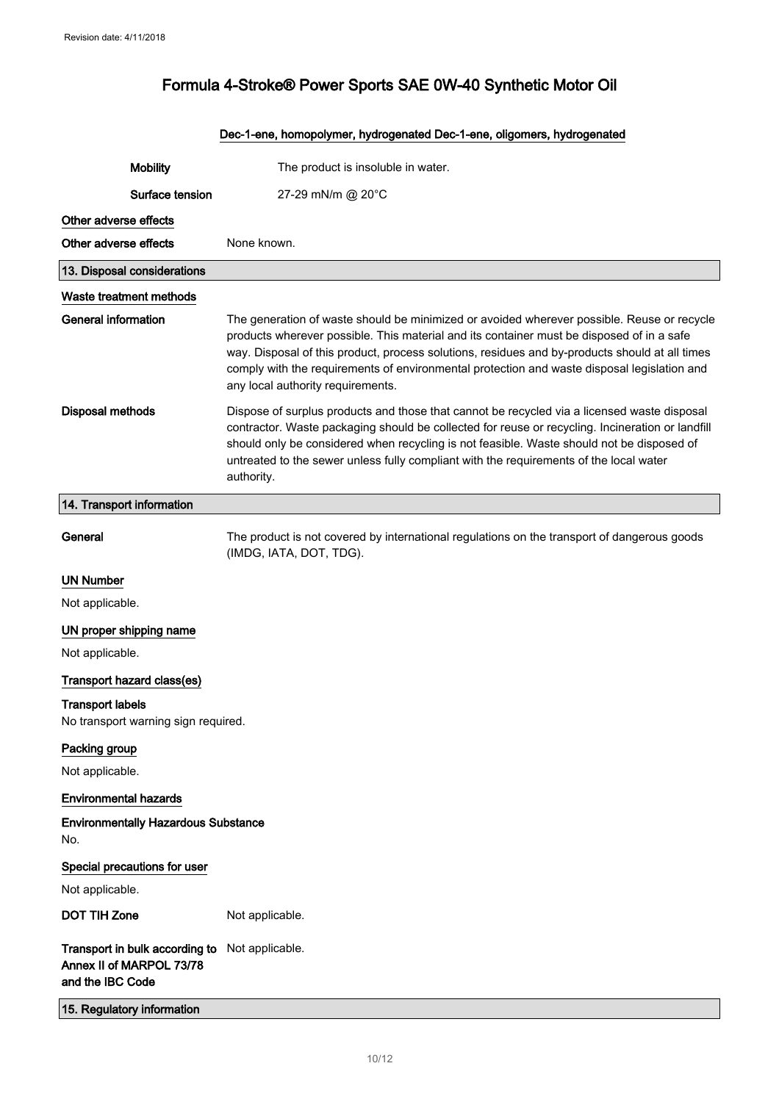# Dec-1-ene, homopolymer, hydrogenated Dec-1-ene, oligomers, hydrogenated Mobility The product is insoluble in water. Surface tension 27-29 mN/m @ 20°C Other adverse effects Other adverse effects None known. 13. Disposal considerations Waste treatment methods General information The generation of waste should be minimized or avoided wherever possible. Reuse or recycle products wherever possible. This material and its container must be disposed of in a safe way. Disposal of this product, process solutions, residues and by-products should at all times comply with the requirements of environmental protection and waste disposal legislation and any local authority requirements. Disposal methods Dispose of surplus products and those that cannot be recycled via a licensed waste disposal contractor. Waste packaging should be collected for reuse or recycling. Incineration or landfill should only be considered when recycling is not feasible. Waste should not be disposed of untreated to the sewer unless fully compliant with the requirements of the local water authority. 14. Transport information General The product is not covered by international regulations on the transport of dangerous goods (IMDG, IATA, DOT, TDG). UN Number Not applicable. UN proper shipping name Not applicable. Transport hazard class(es) Transport labels No transport warning sign required. Packing group Not applicable. Environmental hazards Environmentally Hazardous Substance No. Special precautions for user Not applicable. DOT TIH Zone Not applicable. Transport in bulk according to Not applicable. Annex II of MARPOL 73/78 and the IBC Code

15. Regulatory information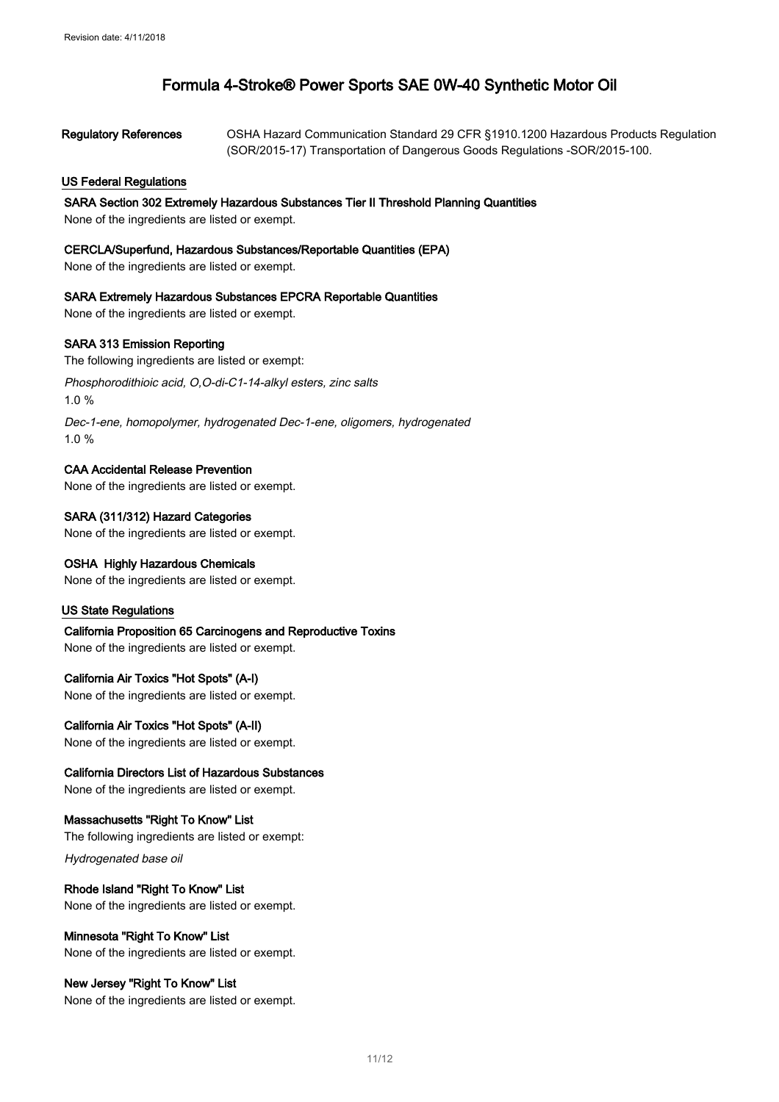| <b>Regulatory References</b> | OSHA Hazard Communication Standard 29 CFR §1910.1200 Hazardous Products Regulation |
|------------------------------|------------------------------------------------------------------------------------|
|                              | (SOR/2015-17) Transportation of Dangerous Goods Regulations -SOR/2015-100.         |

### US Federal Regulations

#### SARA Section 302 Extremely Hazardous Substances Tier II Threshold Planning Quantities

None of the ingredients are listed or exempt.

#### CERCLA/Superfund, Hazardous Substances/Reportable Quantities (EPA)

None of the ingredients are listed or exempt.

#### SARA Extremely Hazardous Substances EPCRA Reportable Quantities

None of the ingredients are listed or exempt.

#### SARA 313 Emission Reporting

The following ingredients are listed or exempt:

Phosphorodithioic acid, O,O-di-C1-14-alkyl esters, zinc salts 1.0 %

Dec-1-ene, homopolymer, hydrogenated Dec-1-ene, oligomers, hydrogenated 1.0 %

### CAA Accidental Release Prevention

None of the ingredients are listed or exempt.

SARA (311/312) Hazard Categories None of the ingredients are listed or exempt.

#### OSHA Highly Hazardous Chemicals

None of the ingredients are listed or exempt.

### US State Regulations

California Proposition 65 Carcinogens and Reproductive Toxins None of the ingredients are listed or exempt.

#### California Air Toxics "Hot Spots" (A-I)

None of the ingredients are listed or exempt.

#### California Air Toxics "Hot Spots" (A-II)

None of the ingredients are listed or exempt.

## California Directors List of Hazardous Substances

None of the ingredients are listed or exempt.

#### Massachusetts "Right To Know" List

The following ingredients are listed or exempt:

Hydrogenated base oil

#### Rhode Island "Right To Know" List None of the ingredients are listed or exempt.

Minnesota "Right To Know" List

None of the ingredients are listed or exempt.

#### New Jersey "Right To Know" List

None of the ingredients are listed or exempt.